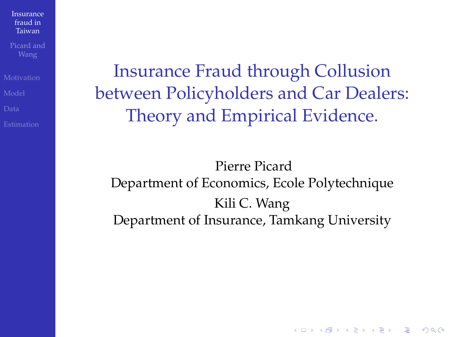<span id="page-0-0"></span>

Insurance Fraud through Collusion between Policyholders and Car Dealers: Theory and Empirical Evidence.

Pierre Picard Department of Economics, Ecole Polytechnique Kili C. Wang Department of Insurance, Tamkang University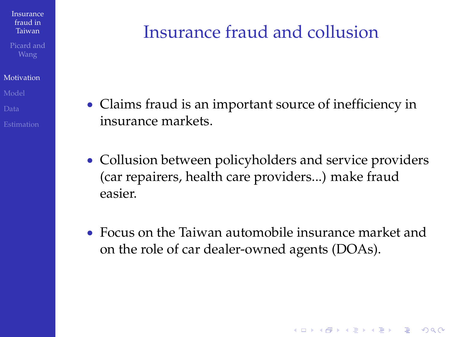#### [Motivation](#page-1-0)

## Insurance fraud and collusion

- Claims fraud is an important source of inefficiency in insurance markets.
- Collusion between policyholders and service providers (car repairers, health care providers...) make fraud easier.
- <span id="page-1-0"></span> Focus on the Taiwan automobile insurance market and on the role of car dealer-owned agents (DOAs).

**KORK STRAIN A STRAIN A STRAIN**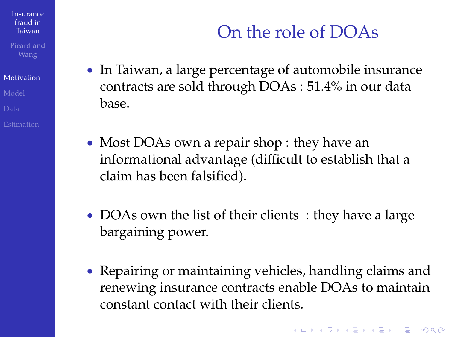[Motivation](#page-1-0)

## On the role of DOAs

- In Taiwan, a large percentage of automobile insurance contracts are sold through DOAs : 51.4% in our data base.
- Most DOAs own a repair shop : they have an informational advantage (difficult to establish that a claim has been falsified).
- DOAs own the list of their clients: they have a large bargaining power.
- Repairing or maintaining vehicles, handling claims and renewing insurance contracts enable DOAs to maintain constant contact with their clients.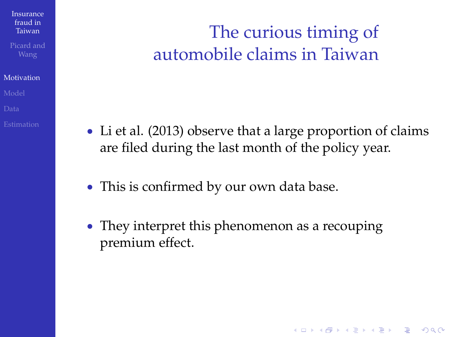#### [Motivation](#page-1-0)

## The curious timing of automobile claims in Taiwan

 Li et al. (2013) observe that a large proportion of claims are filed during the last month of the policy year.

- This is confirmed by our own data base.
- They interpret this phenomenon as a recouping premium effect.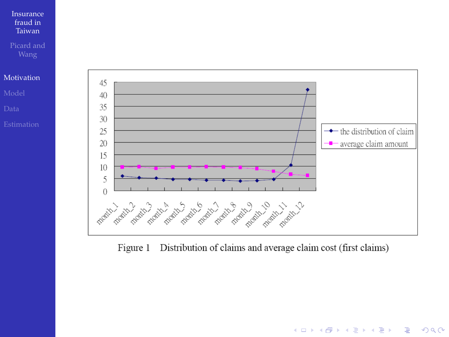

Figure 1 Distribution of claims and average claim cost (first claims)

K ロ ▶ K @ ▶ K 할 ▶ K 할 ▶ . 할 | K 9 Q @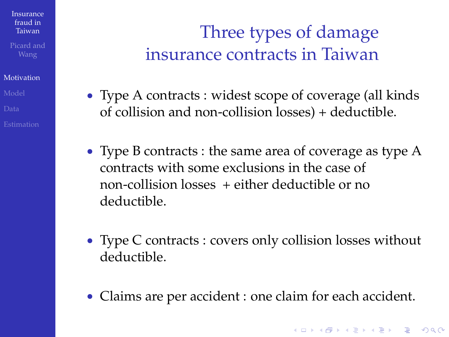#### [Motivation](#page-1-0)

## Three types of damage insurance contracts in Taiwan

- Type A contracts : widest scope of coverage (all kinds of collision and non-collision losses) + deductible.
- Type B contracts : the same area of coverage as type A contracts with some exclusions in the case of non-collision losses + either deductible or no deductible.
- Type C contracts : covers only collision losses without deductible.
- Claims are per accident : one claim for each accident.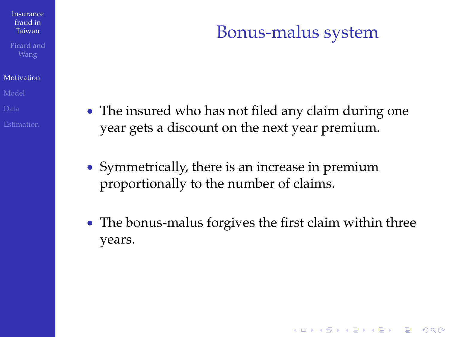#### [Motivation](#page-1-0)

#### The insured who has not filed any claim during one year gets a discount on the next year premium.

Bonus-malus system

- Symmetrically, there is an increase in premium proportionally to the number of claims.
- The bonus-malus forgives the first claim within three years.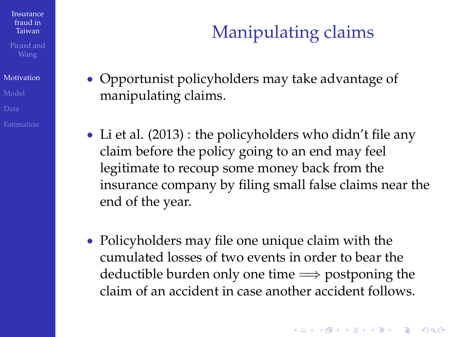Picard and

#### [Motivation](#page-1-0)

- 
- 
- 

# Manipulating claims

- Opportunist policyholders may take advantage of manipulating claims.
- Li et al. (2013) : the policyholders who didn't file any claim before the policy going to an end may feel legitimate to recoup some money back from the insurance company by filing small false claims near the end of the year.
- Policyholders may file one unique claim with the cumulated losses of two events in order to bear the deductible burden only one time  $\Longrightarrow$  postponing the claim of an accident in case another accident follows.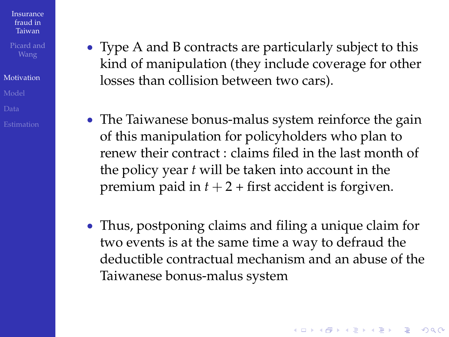Picard and

#### [Motivation](#page-1-0)

- Type A and B contracts are particularly subject to this kind of manipulation (they include coverage for other losses than collision between two cars).
- The Taiwanese bonus-malus system reinforce the gain of this manipulation for policyholders who plan to renew their contract : claims filed in the last month of the policy year *t* will be taken into account in the premium paid in  $t + 2$  + first accident is forgiven.
- Thus, postponing claims and filing a unique claim for two events is at the same time a way to defraud the deductible contractual mechanism and an abuse of the Taiwanese bonus-malus system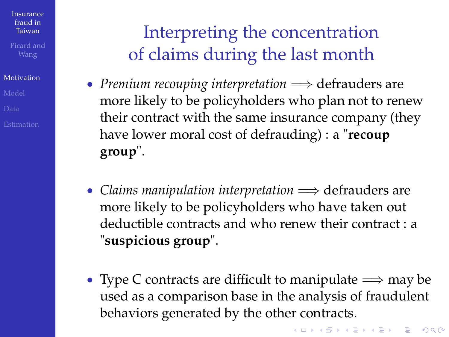#### [Motivation](#page-1-0)

## Interpreting the concentration of claims during the last month

- *Premium recouping interpretation*  $\implies$  defrauders are more likely to be policyholders who plan not to renew their contract with the same insurance company (they have lower moral cost of defrauding) : a "**recoup group**".
- Claims manipulation interpretation  $\implies$  defrauders are more likely to be policyholders who have taken out deductible contracts and who renew their contract : a "**suspicious group**".
- Type C contracts are difficult to manipulate  $\Longrightarrow$  may be used as a comparison base in the analysis of fraudulent behaviors generated by the other contracts.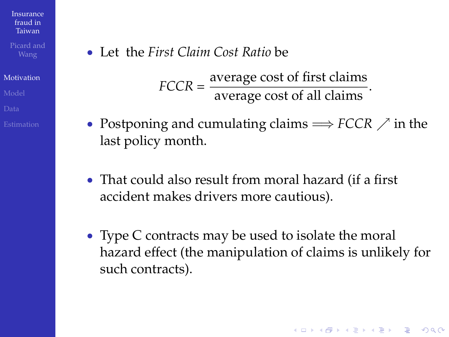Picard and

#### [Motivation](#page-1-0)

- 
- 
- 

Let the *First Claim Cost Ratio* be

 $FCCR = \frac{\text{average cost of first claims}}{\text{average cost of all claims}}.$ 

- Postponing and cumulating claims  $\Rightarrow$  *FCCR*  $\nearrow$  in the last policy month.
- That could also result from moral hazard (if a first accident makes drivers more cautious).
- Type C contracts may be used to isolate the moral hazard effect (the manipulation of claims is unlikely for such contracts).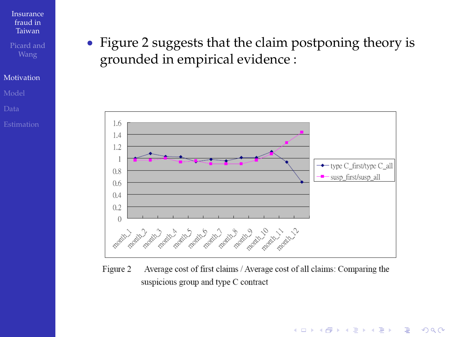#### [Motivation](#page-1-0)

 Figure 2 suggests that the claim postponing theory is grounded in empirical evidence :



Average cost of first claims / Average cost of all claims: Comparing the Figure 2 suspicious group and type C contract

イロト 不優 トイヨト イヨト 一重

 $2990$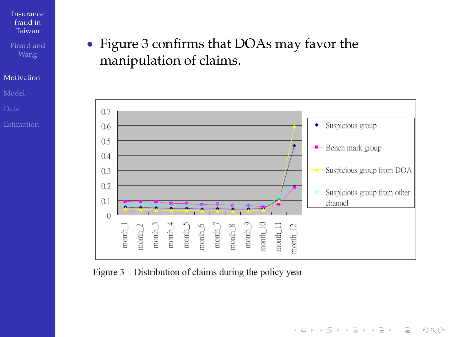#### [Motivation](#page-1-0)

#### Figure 3 confirms that DOAs may favor the manipulation of claims.



**KORK STRAIN A STRAIN A STRAIN** 

#### Figure 3 Distribution of claims during the policy year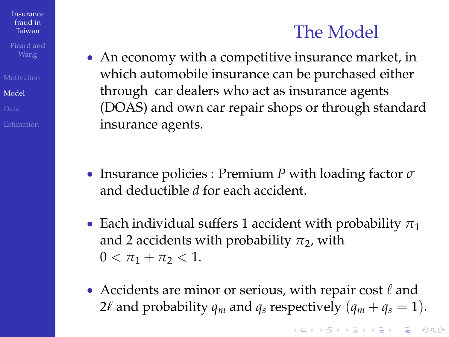### The Model

 An economy with a competitive insurance market, in which automobile insurance can be purchased either through car dealers who act as insurance agents (DOAS) and own car repair shops or through standard insurance agents.

- Insurance policies : Premium *P* with loading factor *σ* and deductible *d* for each accident.
- **Each individual suffers 1 accident with probability**  $\pi_1$ and 2 accidents with probability  $\pi_2$ , with  $0 < \pi_1 + \pi_2 < 1$ .
- <span id="page-13-0"></span>• Accidents are minor or serious, with repair cost  $\ell$  and 2 $\ell$  and probability  $q_m$  and  $q_s$  respectively  $(q_m + q_s = 1)$ .

Taiwan

[Insurance](#page-0-0) fraud in

[Model](#page-13-0)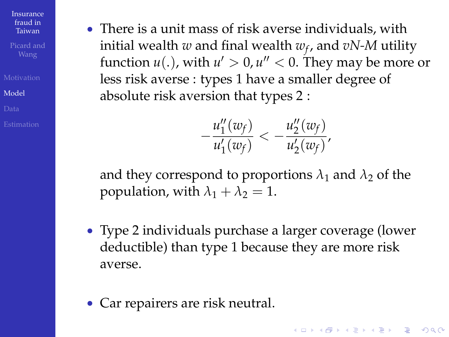[Model](#page-13-0)

 There is a unit mass of risk averse individuals, with initial wealth *w* and final wealth *w<sup>f</sup>* , and *vN-M* utility function  $u(.)$ , with  $u'>0$ ,  $u''< 0$ . They may be more or less risk averse : types 1 have a smaller degree of absolute risk aversion that types 2 :

$$
-\frac{u''_1(w_f)}{u'_1(w_f)} < -\frac{u''_2(w_f)}{u'_2(w_f)},
$$

and they correspond to proportions  $\lambda_1$  and  $\lambda_2$  of the population, with  $\lambda_1 + \lambda_2 = 1$ .

 Type 2 individuals purchase a larger coverage (lower deductible) than type 1 because they are more risk averse.

**KORKARYKERKE POLO** 

<span id="page-14-0"></span>Car repairers are risk neutral.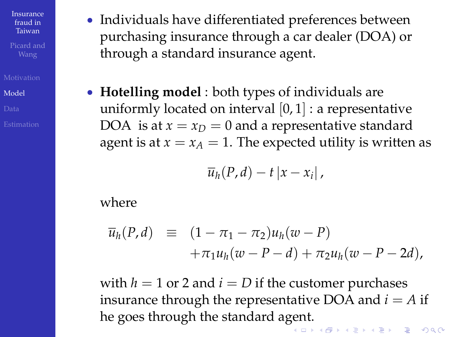[Model](#page-13-0)

- Individuals have differentiated preferences between purchasing insurance through a car dealer (DOA) or through a standard insurance agent.
- **Hotelling model** : both types of individuals are uniformly located on interval  $[0, 1]$  : a representative DOA is at  $x = x_D = 0$  and a representative standard agent is at  $x = x_A = 1$ . The expected utility is written as

$$
\overline{u}_h(P,d)-t\left|x-x_i\right|,
$$

where

$$
\overline{u}_h(P,d) \equiv (1 - \pi_1 - \pi_2)u_h(w - P) \n+ \pi_1 u_h(w - P - d) + \pi_2 u_h(w - P - 2d),
$$

with  $h = 1$  or 2 and  $i = D$  if the customer purchases insurance through the representative DOA and  $i = A$  if he goes through the standard a[gen](#page-14-0)[t.](#page-16-0)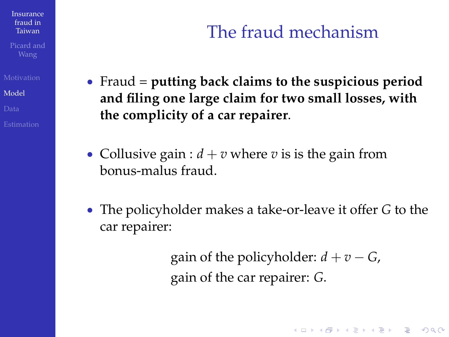Picard and

[Model](#page-13-0)

## The fraud mechanism

- Fraud = **putting back claims to the suspicious period and filing one large claim for two small losses, with the complicity of a car repairer**.
- Collusive gain :  $d + v$  where *v* is is the gain from bonus-malus fraud.
- <span id="page-16-0"></span> The policyholder makes a take-or-leave it offer *G* to the car repairer:

gain of the policyholder:  $d + v - G$ , gain of the car repairer: *G*.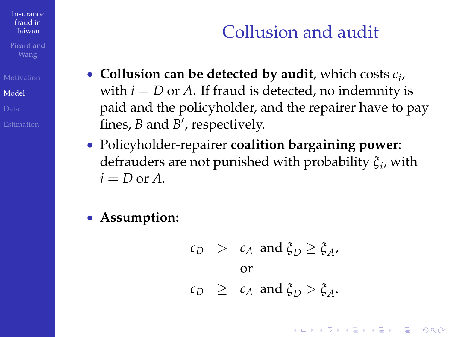[Model](#page-13-0)

## Collusion and audit

- **Collusion can be detected by audit**, which costs *c<sup>i</sup>* , with  $i = D$  or  $A$ . If fraud is detected, no indemnity is paid and the policyholder, and the repairer have to pay fines*, B* and *B'*, respectively.
- Policyholder-repairer **coalition bargaining power**: defrauders are not punished with probability *ξ<sup>i</sup>* , with  $i = D$  or  $A$ .

#### **Assumption:**

$$
c_D
$$
 >  $c_A$  and  $\xi_D \ge \xi_A$ ,  
or  
 $c_D$   $\ge$   $c_A$  and  $\xi_D > \xi_A$ .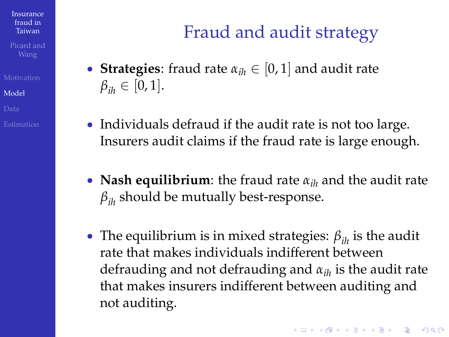[Model](#page-13-0)

# Fraud and audit strategy

- **Strategies**: fraud rate  $\alpha_{ih} \in [0, 1]$  and audit rate  $\beta_{ik} \in [0, 1].$
- Individuals defraud if the audit rate is not too large. Insurers audit claims if the fraud rate is large enough.
- **Nash equilibrium**: the fraud rate *αih* and the audit rate *βih* should be mutually best-response.
- The equilibrium is in mixed strategies: *βih* is the audit rate that makes individuals indifferent between defrauding and not defrauding and *αih* is the audit rate that makes insurers indifferent between auditing and not auditing.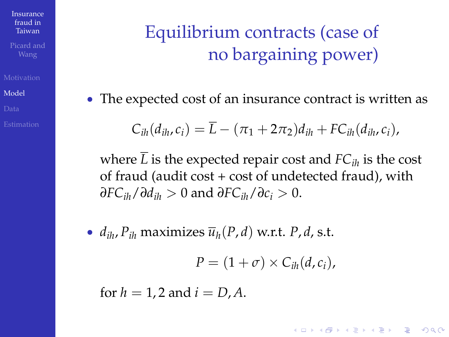[Model](#page-13-0)

## Equilibrium contracts (case of no bargaining power)

The expected cost of an insurance contract is written as

$$
C_{ih}(d_{ih},c_i)=\overline{L}-(\pi_1+2\pi_2)d_{ih}+FC_{ih}(d_{ih},c_i),
$$

where  $\overline{L}$  is the expected repair cost and  $FC_{ik}$  is the cost of fraud (audit  $cost + cost$  of undetected fraud), with *∂FCih*/*∂dih* > 0 and *∂FCih*/*∂c<sup>i</sup>* > 0.

•  $d_{ih}$ ,  $P_{ih}$  maximizes  $\overline{u}_h(P,d)$  w.r.t.  $P, d$ , s.t.

$$
P=(1+\sigma)\times C_{ih}(d,c_i),
$$

**KORKARYKERKE POLO** 

for  $h = 1.2$  and  $i = D.A$ .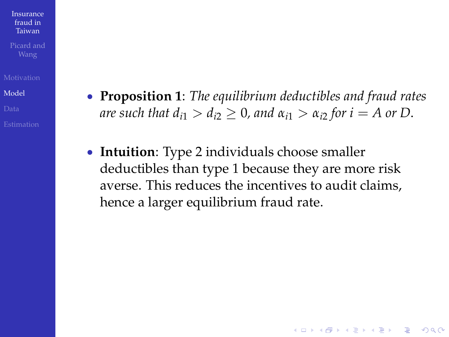Taiwan

[Insurance](#page-0-0) fraud in

[Model](#page-13-0)

- **Proposition 1**: *The equilibrium deductibles and fraud rates are such that*  $d_{i1} > d_{i2} \geq 0$ *, and*  $\alpha_{i1} > \alpha_{i2}$  *for*  $i = A$  *or D.*
- **Intuition**: Type 2 individuals choose smaller deductibles than type 1 because they are more risk averse. This reduces the incentives to audit claims, hence a larger equilibrium fraud rate.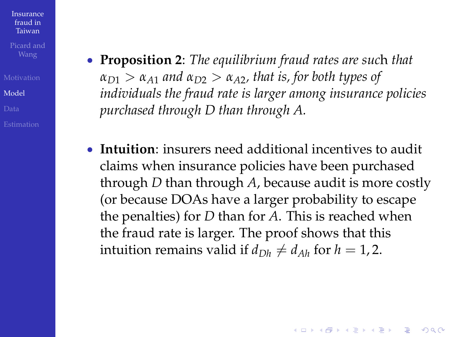[Model](#page-13-0)

- **Proposition 2**: *The equilibrium fraud rates are suc*h *that*  $a_{D1} > a_{A1}$  *and*  $a_{D2} > a_{A2}$ *, that is, for both types of individuals the fraud rate is larger among insurance policies purchased through D than through A.*
- **Intuition**: insurers need additional incentives to audit claims when insurance policies have been purchased through *D* than through *A*, because audit is more costly (or because DOAs have a larger probability to escape the penalties) for *D* than for *A*. This is reached when the fraud rate is larger. The proof shows that this intuition remains valid if  $d_{Dh} \neq d_{Ah}$  for  $h = 1, 2$ .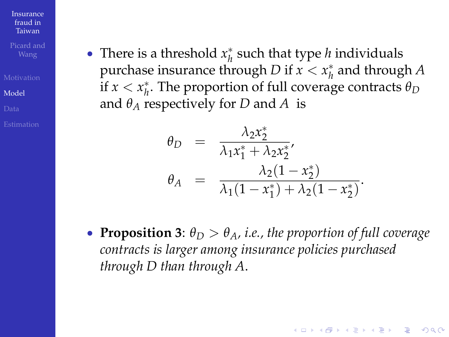[Model](#page-13-0)

• There is a threshold  $x_h^*$  such that type *h* individuals purchase insurance through *D* if  $x < x_h^*$  and through *A* if  $x < x_h^*$ . The proportion of full coverage contracts  $\theta_D$ and  $\theta_A$  respectively for *D* and *A* is

$$
\theta_D = \frac{\lambda_2 x_2^*}{\lambda_1 x_1^* + \lambda_2 x_2^*},
$$
  
\n
$$
\theta_A = \frac{\lambda_2 (1 - x_2^*)}{\lambda_1 (1 - x_1^*) + \lambda_2 (1 - x_2^*)}.
$$

**• Proposition 3:**  $\theta_D > \theta_A$ , i.e., the proportion of full coverage *contracts is larger among insurance policies purchased through D than through A*.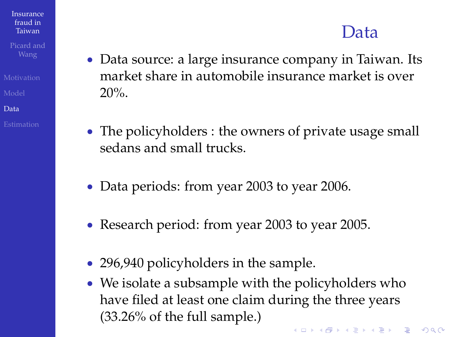### Data

- Data source: a large insurance company in Taiwan. Its market share in automobile insurance market is over 20%.
	- The policyholders : the owners of private usage small sedans and small trucks.
	- Data periods: from year 2003 to year 2006.
	- Research period: from year 2003 to year 2005.
	- 296,940 policyholders in the sample.

[Insurance](#page-0-0) fraud in Taiwan

[Data](#page-23-0)

<span id="page-23-0"></span>• We isolate a subsample with the policyholders who have filed at least one claim during the three years (33.26% of the full sample.)**KORKARYKERKE POLO**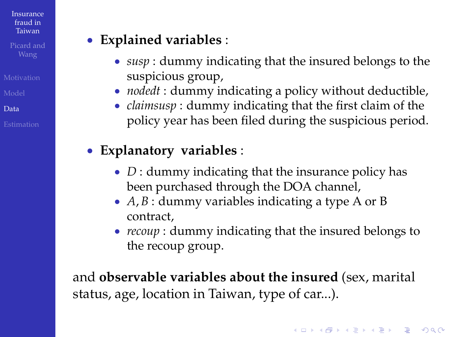[Data](#page-23-0)

### **Explained variables** :

- *susp* : dummy indicating that the insured belongs to the suspicious group,
- *nodedt* : dummy indicating a policy without deductible,
- *claimsusp* : dummy indicating that the first claim of the policy year has been filed during the suspicious period.

### **Explanatory variables** :

- *D* : dummy indicating that the insurance policy has been purchased through the DOA channel,
- *A*, *B* : dummy variables indicating a type A or B contract,
- *recoup* : dummy indicating that the insured belongs to the recoup group.

and **observable variables about the insured** (sex, marital status, age, location in Taiwan, type of car...).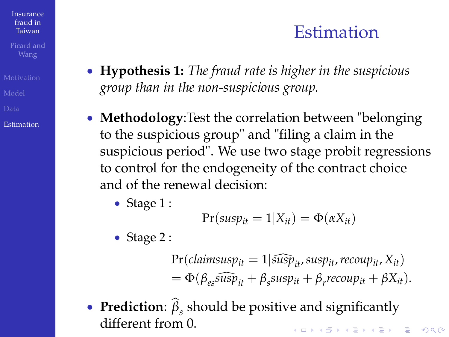### Estimation

Taiwan

[Insurance](#page-0-0) fraud in

- 
- 
- 
- [Estimation](#page-25-0)
- **Hypothesis 1:** *The fraud rate is higher in the suspicious group than in the non-suspicious group.*
- **Methodology**:Test the correlation between "belonging to the suspicious group" and "filing a claim in the suspicious period". We use two stage probit regressions to control for the endogeneity of the contract choice and of the renewal decision:
	- Stage  $1$  :

$$
Pr(susp_{it}=1|X_{it})=\Phi(\alpha X_{it})
$$

- Stage 2 :
	- $Pr($ *claimsusp*<sub>it</sub> $= 1$  $|$ *susp*<sub>it</sub>, *susp*<sub>it</sub>, *recoup*<sub>it</sub>, *X*<sub>*it*</sub></sub> $)$  $= \Phi(\beta_{es} \widehat{\text{susp}}_{it} + \beta_{s} \text{susp}_{it} + \beta_{r} \text{recoup}_{it} + \beta X_{it}).$
- <span id="page-25-0"></span>**Prediction**:  $\beta$ <sub>*s*</sub> should be positive and significantly different from 0.**A O A G A 4 O A C A G A 4 O A 4 O A C A**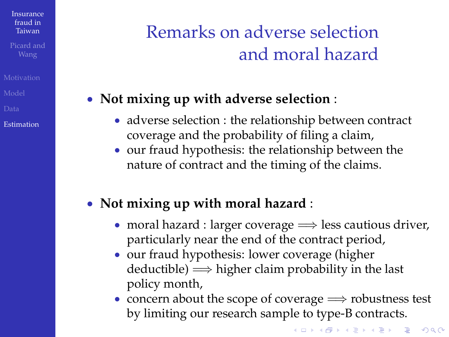[Estimation](#page-25-0)

## Remarks on adverse selection and moral hazard

### **Not mixing up with adverse selection** :

- adverse selection : the relationship between contract coverage and the probability of filing a claim,
- our fraud hypothesis: the relationship between the nature of contract and the timing of the claims.

### **Not mixing up with moral hazard** :

- moral hazard : larger coverage  $\Longrightarrow$  less cautious driver, particularly near the end of the contract period,
- our fraud hypothesis: lower coverage (higher deductible)  $\Longrightarrow$  higher claim probability in the last policy month,
- concern about the scope of coverage  $\Longrightarrow$  robustness test by limiting our research sample to type-B contracts.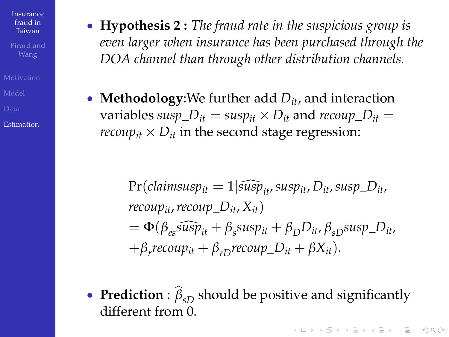[Estimation](#page-25-0)

- **Hypothesis 2 :** *The fraud rate in the suspicious group is even larger when insurance has been purchased through the DOA channel than through other distribution channels.*
- **Methodology**: We further add  $D_{it}$ , and interaction variables *susp*\_*Dit* = *suspit* - *Dit* and *recoup*\_*Dit* = *recoup*<sub>it</sub>  $\times$   $D_{it}$  in the second stage regression:

- $\Pr$ (*claimsusp*<sub>it</sub></sub> = 1 $|\widehat{sup}_{i,t}$ *susp*<sub>it</sub>,  $D_{it}$ *susp*\_ $D_{it}$ , *recoup*<sub>*it*</sub>, *recoup*  $D_{it}$ ,  $X_{it}$  $= \Phi(\beta_{es} \widetilde{\textit{susp}}_{it} + \beta_{s} \textit{susp}_{it} + \beta_{D} D_{it}, \beta_{sD} \textit{susp\_D}_{it},$  $+\beta_r$ *recoup*<sub>it</sub> +  $\beta_{rD}$ *recoup*<sub>-</sub> $D_{it}$  +  $\beta X_{it}$ ).
- **Prediction** :  $\widehat{\beta}_{sD}$  should be positive and significantly different from 0.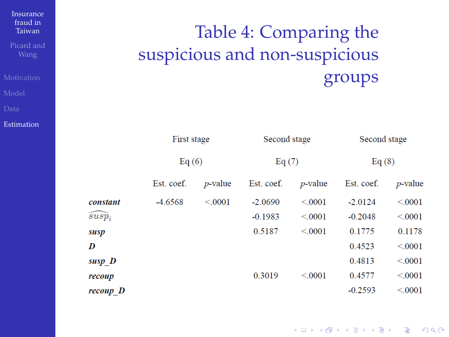# Table 4: Comparing the suspicious and non-suspicious groups

|          | First stage |            | Second stage |                 | Second stage |                 |
|----------|-------------|------------|--------------|-----------------|--------------|-----------------|
|          | Eq $(6)$    |            | Eq $(7)$     |                 | Eq(8)        |                 |
|          | Est. coef.  | $p$ -value | Est. coef.   | <i>p</i> -value | Est. coef.   | <i>p</i> -value |
| constant | $-4.6568$   | < 0.001    | $-2.0690$    | < 0.0001        | $-2.0124$    | < 0.0001        |
| $susp_i$ |             |            | $-0.1983$    | < 0.001         | $-0.2048$    | < 0.0001        |
| susp     |             |            | 0.5187       | < 0.001         | 0.1775       | 0.1178          |
| D        |             |            |              |                 | 0.4523       | < 0.001         |
| susp D   |             |            |              |                 | 0.4813       | < 0.001         |
| recoup   |             |            | 0.3019       | < 0.001         | 0.4577       | < 0.001         |
| recoup D |             |            |              |                 | $-0.2593$    | < 0.001         |

fraud in Taiwan Picard and

[Insurance](#page-0-0)

[Estimation](#page-25-0)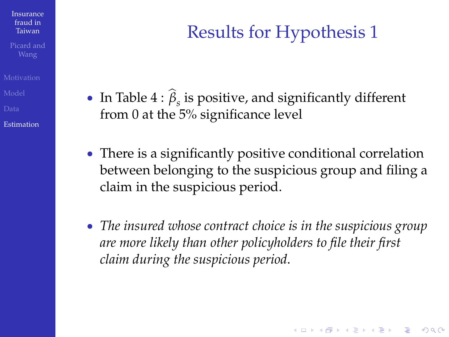[Estimation](#page-25-0)

## Results for Hypothesis 1

- In Table 4 : *β*<sub>*s*</sub> is positive, and significantly different from 0 at the 5% significance level
- There is a significantly positive conditional correlation between belonging to the suspicious group and filing a claim in the suspicious period.
- *The insured whose contract choice is in the suspicious group are more likely than other policyholders to file their first claim during the suspicious period*.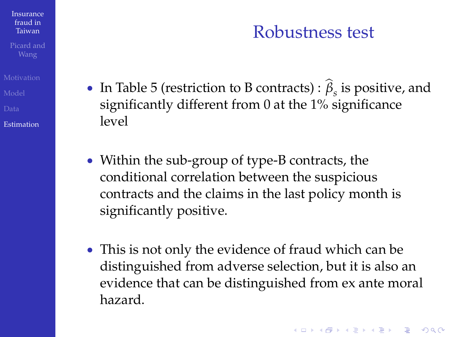### Robustness test

- In Table 5 (restriction to B contracts) :  $\beta_s$  is positive, and significantly different from 0 at the 1% significance level
	- Within the sub-group of type-B contracts, the conditional correlation between the suspicious contracts and the claims in the last policy month is significantly positive.
	- This is not only the evidence of fraud which can be distinguished from adverse selection, but it is also an evidence that can be distinguished from ex ante moral hazard.

[Estimation](#page-25-0)

[Insurance](#page-0-0) fraud in Taiwan Picard and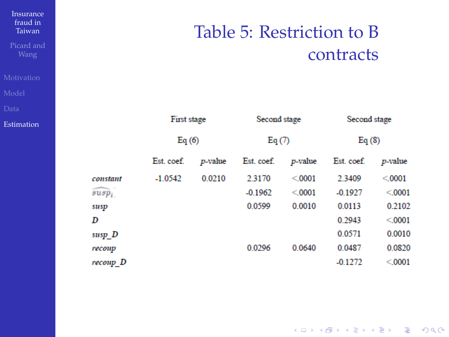### Table 5: Restriction to B contracts

| First stage<br>Eq $(6)$ |        | Second stage<br>Eq(7) |        | Second stage<br>Eq(8) |        |
|-------------------------|--------|-----------------------|--------|-----------------------|--------|
|                         |        |                       |        |                       |        |
| $-1.0542$               | 0.0210 | 2.3170                | < 0001 | 2.3409                | < 0001 |
|                         |        | $-0.1962$             | < 0001 | $-0.1927$             | < 0001 |
|                         |        | 0.0599                | 0.0010 | 0.0113                | 0.2102 |
|                         |        |                       |        | 0.2943                | < 0001 |
|                         |        |                       |        | 0.0571                | 0.0010 |
|                         |        | 0.0296                | 0.0640 | 0.0487                | 0.0820 |
|                         |        |                       |        | $-0.1272$             | < 0001 |
|                         |        |                       |        |                       |        |

Picard and

[Insurance](#page-0-0) fraud in Taiwan

[Estimation](#page-25-0)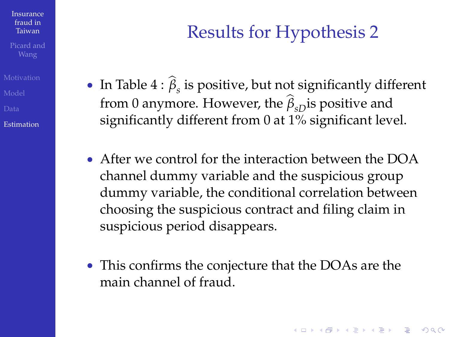[Estimation](#page-25-0)

## Results for Hypothesis 2

- **I**n Table  $4: \beta_s$  is positive, but not significantly different from 0 anymore. However, the  $\hat{\beta}_{sD}$  is positive and significantly different from 0 at 1% significant level.
- After we control for the interaction between the DOA channel dummy variable and the suspicious group dummy variable, the conditional correlation between choosing the suspicious contract and filing claim in suspicious period disappears.
- This confirms the conjecture that the DOAs are the main channel of fraud.